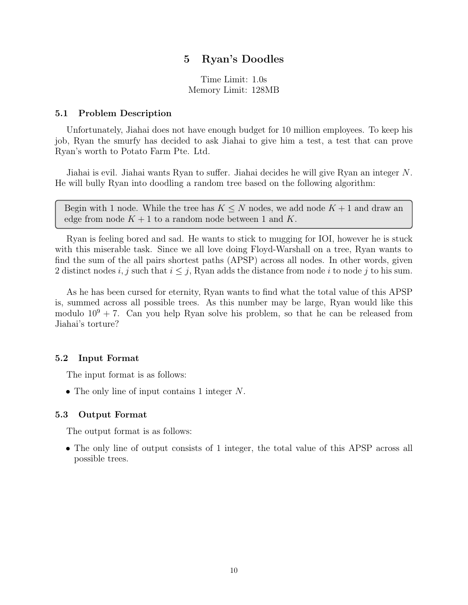## 5 Ryan's Doodles

Time Limit: 1.0s Memory Limit: 128MB

#### 5.1 Problem Description

Unfortunately, Jiahai does not have enough budget for 10 million employees. To keep his job, Ryan the smurfy has decided to ask Jiahai to give him a test, a test that can prove Ryan's worth to Potato Farm Pte. Ltd.

Jiahai is evil. Jiahai wants Ryan to suffer. Jiahai decides he will give Ryan an integer *N*. He will bully Ryan into doodling a random tree based on the following algorithm:

Begin with 1 node. While the tree has  $K \leq N$  nodes, we add node  $K + 1$  and draw an edge from node  $K + 1$  to a random node between 1 and K.

Ryan is feeling bored and sad. He wants to stick to mugging for IOI, however he is stuck with this miserable task. Since we all love doing Floyd-Warshall on a tree, Ryan wants to find the sum of the all pairs shortest paths (APSP) across all nodes. In other words, given 2 distinct nodes *i, j* such that  $i \leq j$ , Ryan adds the distance from node *i* to node *j* to his sum.

As he has been cursed for eternity, Ryan wants to find what the total value of this APSP is, summed across all possible trees. As this number may be large, Ryan would like this modulo  $10^9 + 7$ . Can you help Ryan solve his problem, so that he can be released from Jiahai's torture?

### 5.2 Input Format

The input format is as follows:

*•* The only line of input contains 1 integer *N*.

#### 5.3 Output Format

The output format is as follows:

• The only line of output consists of 1 integer, the total value of this APSP across all possible trees.